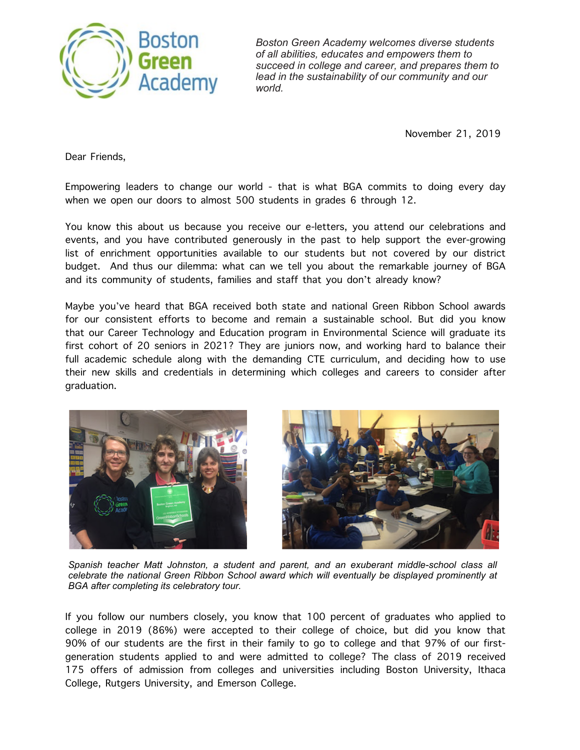

*Boston Green Academy welcomes diverse students of all abilities, educates and empowers them to succeed in college and career, and prepares them to lead in the sustainability of our community and our world.*

November 21, 2019

Dear Friends,

Empowering leaders to change our world - that is what BGA commits to doing every day when we open our doors to almost 500 students in grades 6 through 12.

You know this about us because you receive our e-letters, you attend our celebrations and events, and you have contributed generously in the past to help support the ever-growing list of enrichment opportunities available to our students but not covered by our district budget. And thus our dilemma: what can we tell you about the remarkable journey of BGA and its community of students, families and staff that you don't already know?

Maybe you've heard that BGA received both state and national Green Ribbon School awards for our consistent efforts to become and remain a sustainable school. But did you know that our Career Technology and Education program in Environmental Science will graduate its first cohort of 20 seniors in 2021? They are juniors now, and working hard to balance their full academic schedule along with the demanding CTE curriculum, and deciding how to use their new skills and credentials in determining which colleges and careers to consider after graduation.



*Spanish teacher Matt Johnston, a student and parent, and an exuberant middle-school class all celebrate the national Green Ribbon School award which will eventually be displayed prominently at BGA after completing its celebratory tour.*

If you follow our numbers closely, you know that 100 percent of graduates who applied to college in 2019 (86%) were accepted to their college of choice, but did you know that 90% of our students are the first in their family to go to college and that 97% of our firstgeneration students applied to and were admitted to college? The class of 2019 received 175 offers of admission from colleges and universities including Boston University, Ithaca College, Rutgers University, and Emerson College.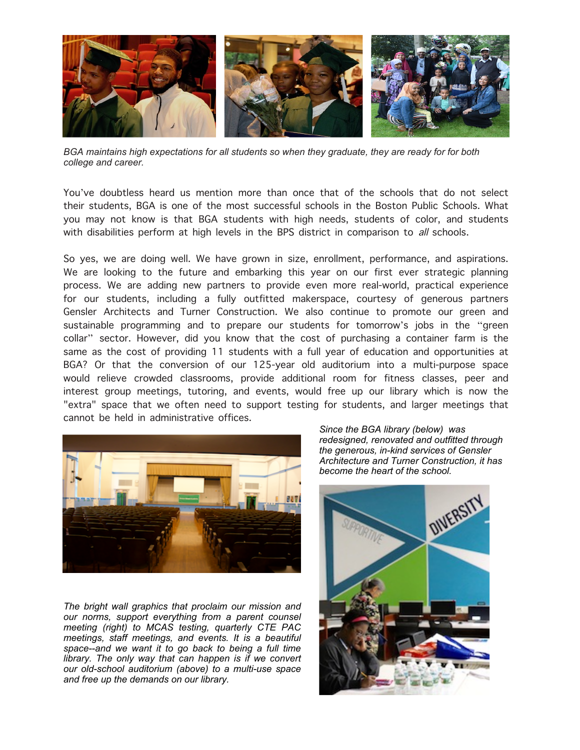

*BGA maintains high expectations for all students so when they graduate, they are ready for for both college and career.*

You've doubtless heard us mention more than once that of the schools that do not select their students, BGA is one of the most successful schools in the Boston Public Schools. What you may not know is that BGA students with high needs, students of color, and students with disabilities perform at high levels in the BPS district in comparison to all schools.

So yes, we are doing well. We have grown in size, enrollment, performance, and aspirations. We are looking to the future and embarking this year on our first ever strategic planning process. We are adding new partners to provide even more real-world, practical experience for our students, including a fully outfitted makerspace, courtesy of generous partners Gensler Architects and Turner Construction. We also continue to promote our green and sustainable programming and to prepare our students for tomorrow's jobs in the "green collar" sector. However, did you know that the cost of purchasing a container farm is the same as the cost of providing 11 students with a full year of education and opportunities at BGA? Or that the conversion of our 125-year old auditorium into a multi-purpose space would relieve crowded classrooms, provide additional room for fitness classes, peer and interest group meetings, tutoring, and events, would free up our library which is now the "extra" space that we often need to support testing for students, and larger meetings that cannot be held in administrative offices.



*The bright wall graphics that proclaim our mission and our norms, support everything from a parent counsel meeting (right) to MCAS testing, quarterly CTE PAC meetings, staff meetings, and events. It is a beautiful space--and we want it to go back to being a full time library. The only way that can happen is if we convert our old-school auditorium (above) to a multi-use space and free up the demands on our library.*

*Since the BGA library (below) was redesigned, renovated and outfitted through the generous, in-kind services of Gensler Architecture and Turner Construction, it has become the heart of the school.*

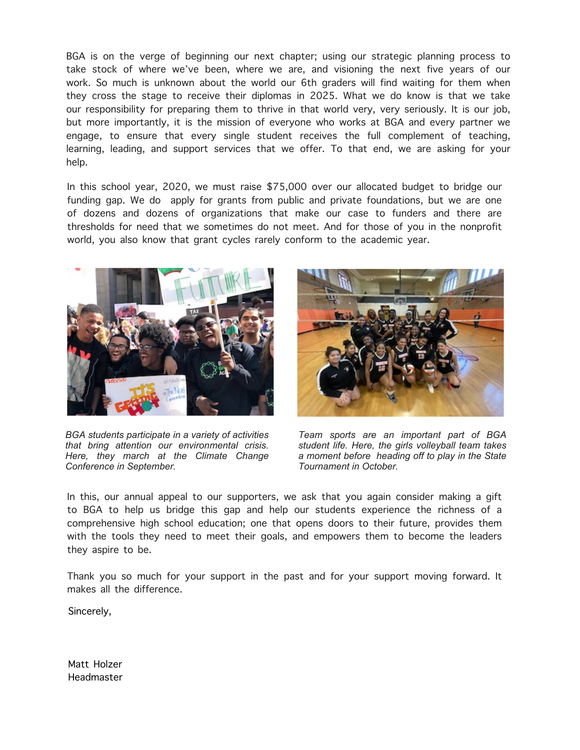BGA is on the verge of beginning our next chapter; using our strategic planning process to take stock of where we've been, where we are, and visioning the next five years of our work. So much is unknown about the world our 6th graders will find waiting for them when they cross the stage to receive their diplomas in 2025. What we do know is that we take our responsibility for preparing them to thrive in that world very, very seriously. It is our job, but more importantly, it is the mission of everyone who works at BGA and every partner we engage, to ensure that every single student receives the full complement of teaching, learning, leading, and support services that we offer. To that end, we are asking for your help.

In this school year, 2020, we must raise \$75,000 over our allocated budget to bridge our funding gap. We do apply for grants from public and private foundations, but we are one of dozens and dozens of organizations that make our case to funders and there are thresholds for need that we sometimes do not meet. And for those of you in the nonprofit world, you also know that grant cycles rarely conform to the academic year.



*BGA students participate in a variety of activities that bring attention our environmental crisis. Here, they march at the Climate Change Conference in September.*



*Team sports are an important part of BGA student life. Here, the girls volleyball team takes a moment before heading off to play in the State Tournament in October.*

In this, our annual appeal to our supporters, we ask that you again consider making a gift to BGA to help us bridge this gap and help our students experience the richness of a comprehensive high school education; one that opens doors to their future, provides them with the tools they need to meet their goals, and empowers them to become the leaders they aspire to be.

Thank you so much for your support in the past and for your support moving forward. It makes all the difference.

Sincerely,

Matt Holzer Headmaster